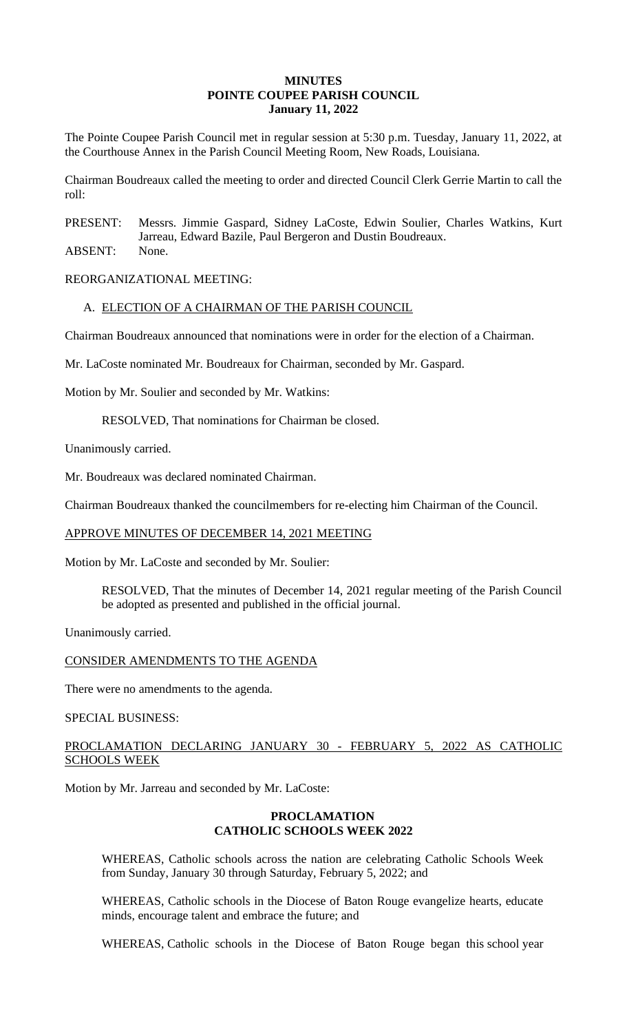### **MINUTES POINTE COUPEE PARISH COUNCIL January 11, 2022**

The Pointe Coupee Parish Council met in regular session at 5:30 p.m. Tuesday, January 11, 2022, at the Courthouse Annex in the Parish Council Meeting Room, New Roads, Louisiana.

Chairman Boudreaux called the meeting to order and directed Council Clerk Gerrie Martin to call the roll:

PRESENT: Messrs. Jimmie Gaspard, Sidney LaCoste, Edwin Soulier, Charles Watkins, Kurt Jarreau, Edward Bazile, Paul Bergeron and Dustin Boudreaux.

ABSENT: None.

REORGANIZATIONAL MEETING:

## A. ELECTION OF A CHAIRMAN OF THE PARISH COUNCIL

Chairman Boudreaux announced that nominations were in order for the election of a Chairman.

Mr. LaCoste nominated Mr. Boudreaux for Chairman, seconded by Mr. Gaspard.

Motion by Mr. Soulier and seconded by Mr. Watkins:

RESOLVED, That nominations for Chairman be closed.

Unanimously carried.

Mr. Boudreaux was declared nominated Chairman.

Chairman Boudreaux thanked the councilmembers for re-electing him Chairman of the Council.

#### APPROVE MINUTES OF DECEMBER 14, 2021 MEETING

Motion by Mr. LaCoste and seconded by Mr. Soulier:

RESOLVED, That the minutes of December 14, 2021 regular meeting of the Parish Council be adopted as presented and published in the official journal.

Unanimously carried.

#### CONSIDER AMENDMENTS TO THE AGENDA

There were no amendments to the agenda.

SPECIAL BUSINESS:

## PROCLAMATION DECLARING JANUARY 30 - FEBRUARY 5, 2022 AS CATHOLIC SCHOOLS WEEK

Motion by Mr. Jarreau and seconded by Mr. LaCoste:

### **PROCLAMATION CATHOLIC SCHOOLS WEEK 2022**

WHEREAS, Catholic schools across the nation are celebrating Catholic Schools Week from Sunday, January 30 through Saturday, February 5, 2022; and

WHEREAS, Catholic schools in the Diocese of Baton Rouge evangelize hearts, educate minds, encourage talent and embrace the future; and

WHEREAS, Catholic schools in the Diocese of Baton Rouge began this school year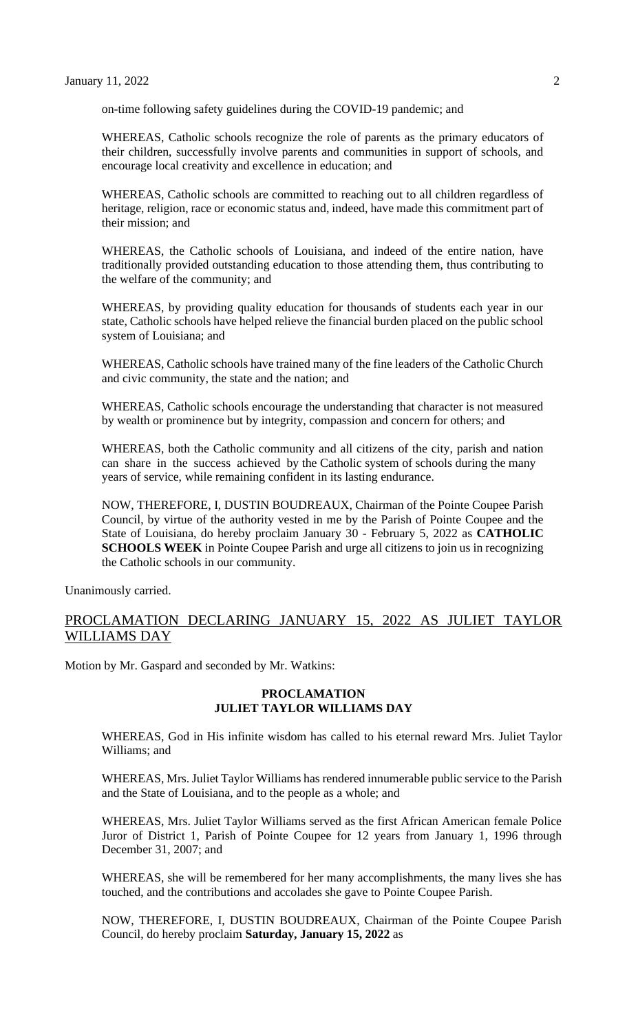on-time following safety guidelines during the COVID-19 pandemic; and

WHEREAS, Catholic schools recognize the role of parents as the primary educators of their children, successfully involve parents and communities in support of schools, and encourage local creativity and excellence in education; and

WHEREAS, Catholic schools are committed to reaching out to all children regardless of heritage, religion, race or economic status and, indeed, have made this commitment part of their mission; and

WHEREAS, the Catholic schools of Louisiana, and indeed of the entire nation, have traditionally provided outstanding education to those attending them, thus contributing to the welfare of the community; and

WHEREAS, by providing quality education for thousands of students each year in our state, Catholic schools have helped relieve the financial burden placed on the public school system of Louisiana; and

WHEREAS, Catholic schools have trained many of the fine leaders of the Catholic Church and civic community, the state and the nation; and

WHEREAS, Catholic schools encourage the understanding that character is not measured by wealth or prominence but by integrity, compassion and concern for others; and

WHEREAS, both the Catholic community and all citizens of the city, parish and nation can share in the success achieved by the Catholic system of schools during the many years of service, while remaining confident in its lasting endurance.

NOW, THEREFORE, I, DUSTIN BOUDREAUX, Chairman of the Pointe Coupee Parish Council, by virtue of the authority vested in me by the Parish of Pointe Coupee and the State of Louisiana, do hereby proclaim January 30 - February 5, 2022 as **CATHOLIC SCHOOLS WEEK** in Pointe Coupee Parish and urge all citizens to join us in recognizing the Catholic schools in our community.

Unanimously carried.

# PROCLAMATION DECLARING JANUARY 15, 2022 AS JULIET TAYLOR WILLIAMS DAY

Motion by Mr. Gaspard and seconded by Mr. Watkins:

### **PROCLAMATION JULIET TAYLOR WILLIAMS DAY**

WHEREAS, God in His infinite wisdom has called to his eternal reward Mrs. Juliet Taylor Williams; and

WHEREAS, Mrs. Juliet Taylor Williams has rendered innumerable public service to the Parish and the State of Louisiana, and to the people as a whole; and

WHEREAS, Mrs. Juliet Taylor Williams served as the first African American female Police Juror of District 1, Parish of Pointe Coupee for 12 years from January 1, 1996 through December 31, 2007; and

WHEREAS, she will be remembered for her many accomplishments, the many lives she has touched, and the contributions and accolades she gave to Pointe Coupee Parish.

NOW, THEREFORE, I, DUSTIN BOUDREAUX, Chairman of the Pointe Coupee Parish Council, do hereby proclaim **Saturday, January 15, 2022** as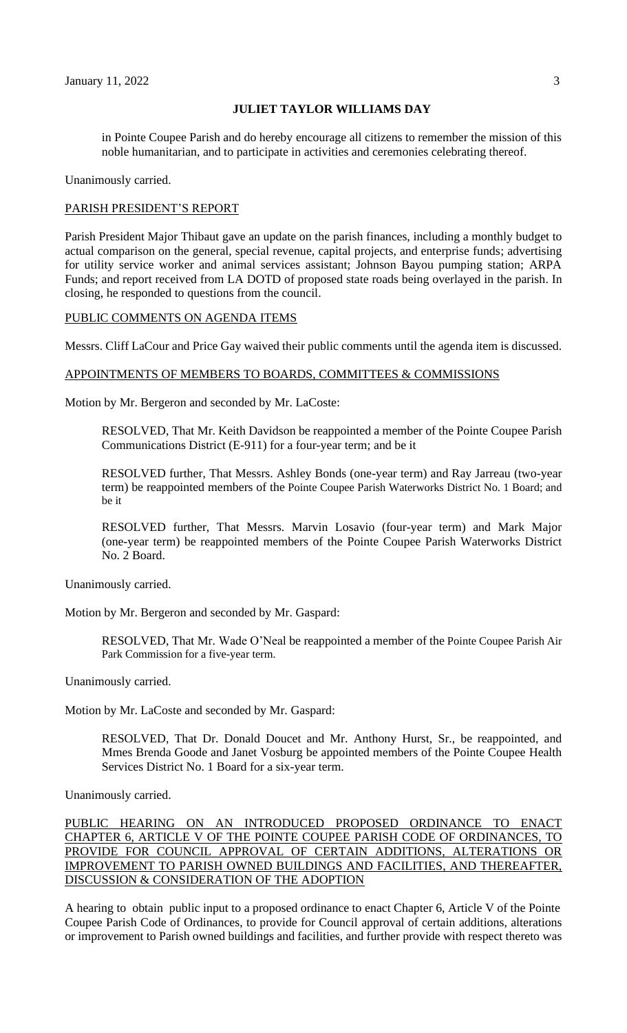### **JULIET TAYLOR WILLIAMS DAY**

in Pointe Coupee Parish and do hereby encourage all citizens to remember the mission of this noble humanitarian, and to participate in activities and ceremonies celebrating thereof.

Unanimously carried.

#### PARISH PRESIDENT'S REPORT

Parish President Major Thibaut gave an update on the parish finances, including a monthly budget to actual comparison on the general, special revenue, capital projects, and enterprise funds; advertising for utility service worker and animal services assistant; Johnson Bayou pumping station; ARPA Funds; and report received from LA DOTD of proposed state roads being overlayed in the parish. In closing, he responded to questions from the council.

### PUBLIC COMMENTS ON AGENDA ITEMS

Messrs. Cliff LaCour and Price Gay waived their public comments until the agenda item is discussed.

#### APPOINTMENTS OF MEMBERS TO BOARDS, COMMITTEES & COMMISSIONS

Motion by Mr. Bergeron and seconded by Mr. LaCoste:

RESOLVED, That Mr. Keith Davidson be reappointed a member of the Pointe Coupee Parish Communications District (E-911) for a four-year term; and be it

RESOLVED further, That Messrs. Ashley Bonds (one-year term) and Ray Jarreau (two-year term) be reappointed members of the Pointe Coupee Parish Waterworks District No. 1 Board; and be it

RESOLVED further, That Messrs. Marvin Losavio (four-year term) and Mark Major (one-year term) be reappointed members of the Pointe Coupee Parish Waterworks District No. 2 Board.

Unanimously carried.

Motion by Mr. Bergeron and seconded by Mr. Gaspard:

RESOLVED, That Mr. Wade O'Neal be reappointed a member of the Pointe Coupee Parish Air Park Commission for a five-year term.

Unanimously carried.

Motion by Mr. LaCoste and seconded by Mr. Gaspard:

RESOLVED, That Dr. Donald Doucet and Mr. Anthony Hurst, Sr., be reappointed, and Mmes Brenda Goode and Janet Vosburg be appointed members of the Pointe Coupee Health Services District No. 1 Board for a six-year term.

Unanimously carried.

PUBLIC HEARING ON AN INTRODUCED PROPOSED ORDINANCE TO ENACT CHAPTER 6, ARTICLE V OF THE POINTE COUPEE PARISH CODE OF ORDINANCES, TO PROVIDE FOR COUNCIL APPROVAL OF CERTAIN ADDITIONS, ALTERATIONS OR IMPROVEMENT TO PARISH OWNED BUILDINGS AND FACILITIES, AND THEREAFTER, DISCUSSION & CONSIDERATION OF THE ADOPTION

A hearing to obtain public input to a proposed ordinance to enact Chapter 6, Article V of the Pointe Coupee Parish Code of Ordinances, to provide for Council approval of certain additions, alterations or improvement to Parish owned buildings and facilities, and further provide with respect thereto was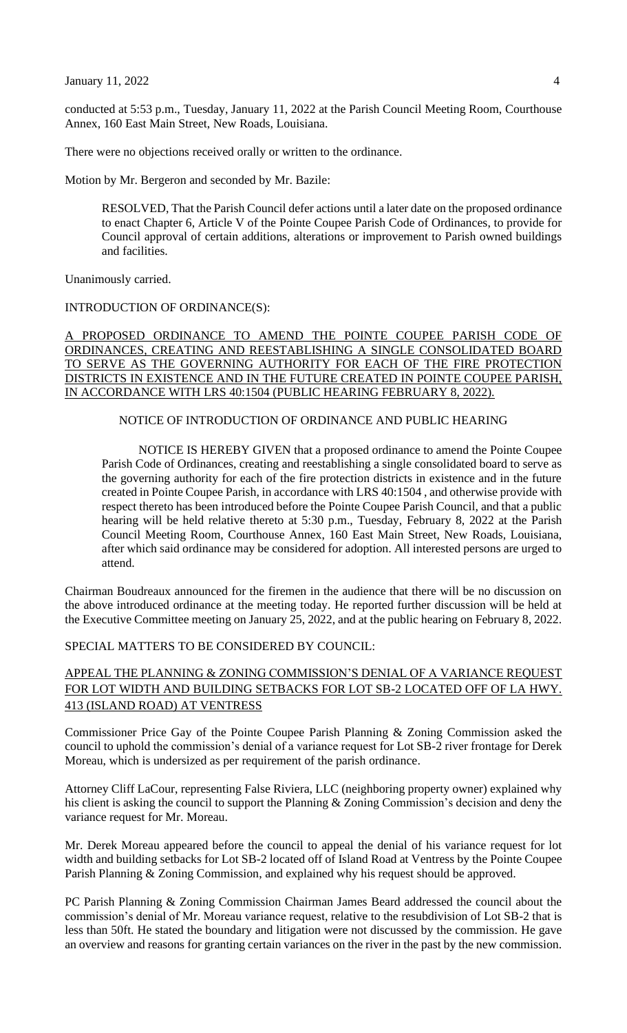January 11, 2022 4

conducted at 5:53 p.m., Tuesday, January 11, 2022 at the Parish Council Meeting Room, Courthouse Annex, 160 East Main Street, New Roads, Louisiana.

There were no objections received orally or written to the ordinance.

Motion by Mr. Bergeron and seconded by Mr. Bazile:

RESOLVED, That the Parish Council defer actions until a later date on the proposed ordinance to enact Chapter 6, Article V of the Pointe Coupee Parish Code of Ordinances, to provide for Council approval of certain additions, alterations or improvement to Parish owned buildings and facilities.

Unanimously carried.

INTRODUCTION OF ORDINANCE(S):

A PROPOSED ORDINANCE TO AMEND THE POINTE COUPEE PARISH CODE OF ORDINANCES, CREATING AND REESTABLISHING A SINGLE CONSOLIDATED BOARD TO SERVE AS THE GOVERNING AUTHORITY FOR EACH OF THE FIRE PROTECTION DISTRICTS IN EXISTENCE AND IN THE FUTURE CREATED IN POINTE COUPEE PARISH, IN ACCORDANCE WITH LRS 40:1504 (PUBLIC HEARING FEBRUARY 8, 2022).

NOTICE OF INTRODUCTION OF ORDINANCE AND PUBLIC HEARING

NOTICE IS HEREBY GIVEN that a proposed ordinance to amend the Pointe Coupee Parish Code of Ordinances, creating and reestablishing a single consolidated board to serve as the governing authority for each of the fire protection districts in existence and in the future created in Pointe Coupee Parish, in accordance with LRS 40:1504 , and otherwise provide with respect thereto has been introduced before the Pointe Coupee Parish Council, and that a public hearing will be held relative thereto at 5:30 p.m., Tuesday, February 8, 2022 at the Parish Council Meeting Room, Courthouse Annex, 160 East Main Street, New Roads, Louisiana, after which said ordinance may be considered for adoption. All interested persons are urged to attend.

Chairman Boudreaux announced for the firemen in the audience that there will be no discussion on the above introduced ordinance at the meeting today. He reported further discussion will be held at the Executive Committee meeting on January 25, 2022, and at the public hearing on February 8, 2022.

SPECIAL MATTERS TO BE CONSIDERED BY COUNCIL:

# APPEAL THE PLANNING & ZONING COMMISSION'S DENIAL OF A VARIANCE REQUEST FOR LOT WIDTH AND BUILDING SETBACKS FOR LOT SB-2 LOCATED OFF OF LA HWY. 413 (ISLAND ROAD) AT VENTRESS

Commissioner Price Gay of the Pointe Coupee Parish Planning & Zoning Commission asked the council to uphold the commission's denial of a variance request for Lot SB-2 river frontage for Derek Moreau, which is undersized as per requirement of the parish ordinance.

Attorney Cliff LaCour, representing False Riviera, LLC (neighboring property owner) explained why his client is asking the council to support the Planning & Zoning Commission's decision and deny the variance request for Mr. Moreau.

Mr. Derek Moreau appeared before the council to appeal the denial of his variance request for lot width and building setbacks for Lot SB-2 located off of Island Road at Ventress by the Pointe Coupee Parish Planning & Zoning Commission, and explained why his request should be approved.

PC Parish Planning & Zoning Commission Chairman James Beard addressed the council about the commission's denial of Mr. Moreau variance request, relative to the resubdivision of Lot SB-2 that is less than 50ft. He stated the boundary and litigation were not discussed by the commission. He gave an overview and reasons for granting certain variances on the river in the past by the new commission.